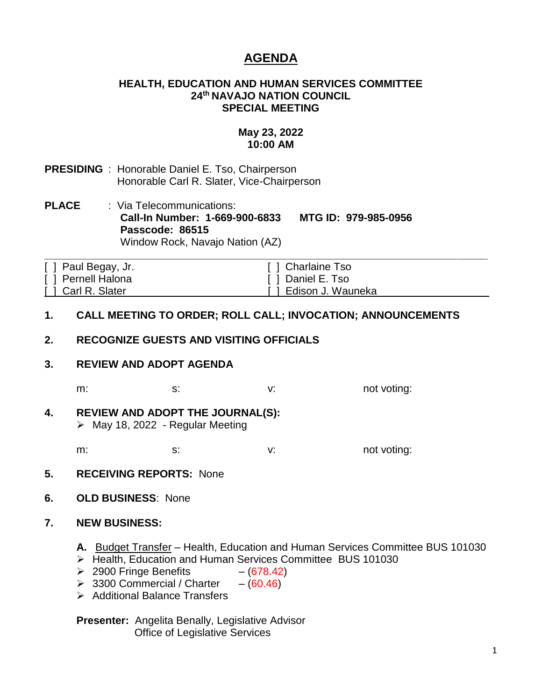# **AGENDA**

#### **HEALTH, EDUCATION AND HUMAN SERVICES COMMITTEE 24th NAVAJO NATION COUNCIL SPECIAL MEETING**

### **May 23, 2022 10:00 AM**

- **PRESIDING** : Honorable Daniel E. Tso, Chairperson Honorable Carl R. Slater, Vice-Chairperson
- **PLACE** : Via Telecommunications: **Call-In Number: 1-669-900-6833 MTG ID: 979-985-0956 Passcode: 86515** Window Rock, Navajo Nation (AZ)

| [ ] Paul Begay, Jr. | [ ] Charlaine Tso     |  |
|---------------------|-----------------------|--|
| [ ] Pernell Halona  | [ ] Daniel E. Tso     |  |
| [ ] Carl R. Slater  | [ ] Edison J. Wauneka |  |

#### **1. CALL MEETING TO ORDER; ROLL CALL; INVOCATION; ANNOUNCEMENTS**

#### **2. RECOGNIZE GUESTS AND VISITING OFFICIALS**

#### **3. REVIEW AND ADOPT AGENDA**

m: s: s: v: v: not voting:

**4. REVIEW AND ADOPT THE JOURNAL(S):**  $\triangleright$  May 18, 2022 - Regular Meeting

m: s: s: v: not voting:

- **5. RECEIVING REPORTS:** None
- **6. OLD BUSINESS**: None

#### **7. NEW BUSINESS:**

- **A.** Budget Transfer Health, Education and Human Services Committee BUS 101030
- ➢ Health, Education and Human Services Committee BUS 101030
- $\geq$  2900 Fringe Benefits (678.42)
- $\geq$  3300 Commercial / Charter (60.46)
- ➢ Additional Balance Transfers

**Presenter:** Angelita Benally, Legislative Advisor Office of Legislative Services